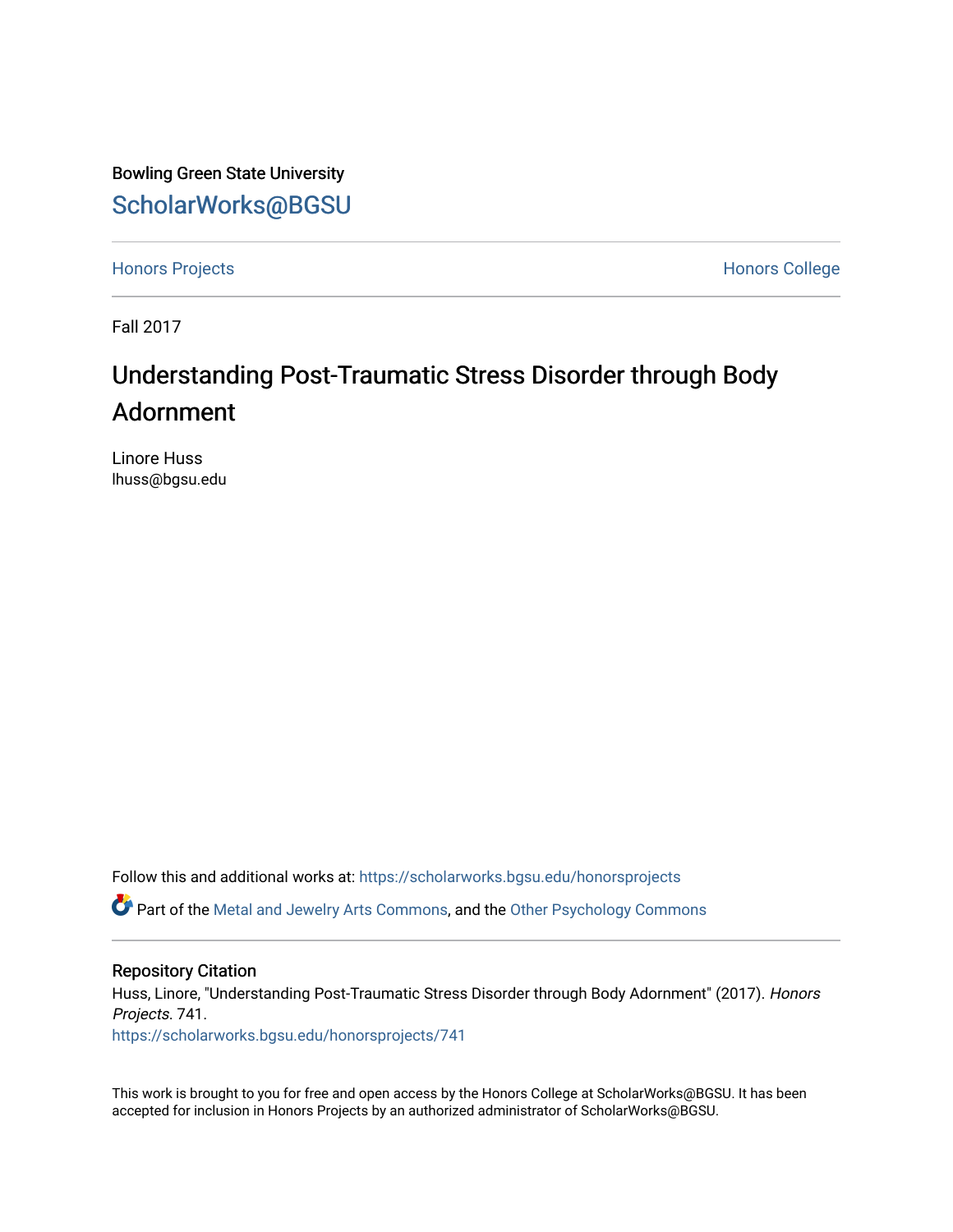Bowling Green State University [ScholarWorks@BGSU](https://scholarworks.bgsu.edu/) 

[Honors Projects](https://scholarworks.bgsu.edu/honorsprojects) **Honors** College

Fall 2017

## Understanding Post-Traumatic Stress Disorder through Body Adornment

Linore Huss lhuss@bgsu.edu

Follow this and additional works at: [https://scholarworks.bgsu.edu/honorsprojects](https://scholarworks.bgsu.edu/honorsprojects?utm_source=scholarworks.bgsu.edu%2Fhonorsprojects%2F741&utm_medium=PDF&utm_campaign=PDFCoverPages) 

Part of the [Metal and Jewelry Arts Commons,](http://network.bepress.com/hgg/discipline/1338?utm_source=scholarworks.bgsu.edu%2Fhonorsprojects%2F741&utm_medium=PDF&utm_campaign=PDFCoverPages) and the [Other Psychology Commons](http://network.bepress.com/hgg/discipline/415?utm_source=scholarworks.bgsu.edu%2Fhonorsprojects%2F741&utm_medium=PDF&utm_campaign=PDFCoverPages)

## Repository Citation

Huss, Linore, "Understanding Post-Traumatic Stress Disorder through Body Adornment" (2017). Honors Projects. 741.

[https://scholarworks.bgsu.edu/honorsprojects/741](https://scholarworks.bgsu.edu/honorsprojects/741?utm_source=scholarworks.bgsu.edu%2Fhonorsprojects%2F741&utm_medium=PDF&utm_campaign=PDFCoverPages) 

This work is brought to you for free and open access by the Honors College at ScholarWorks@BGSU. It has been accepted for inclusion in Honors Projects by an authorized administrator of ScholarWorks@BGSU.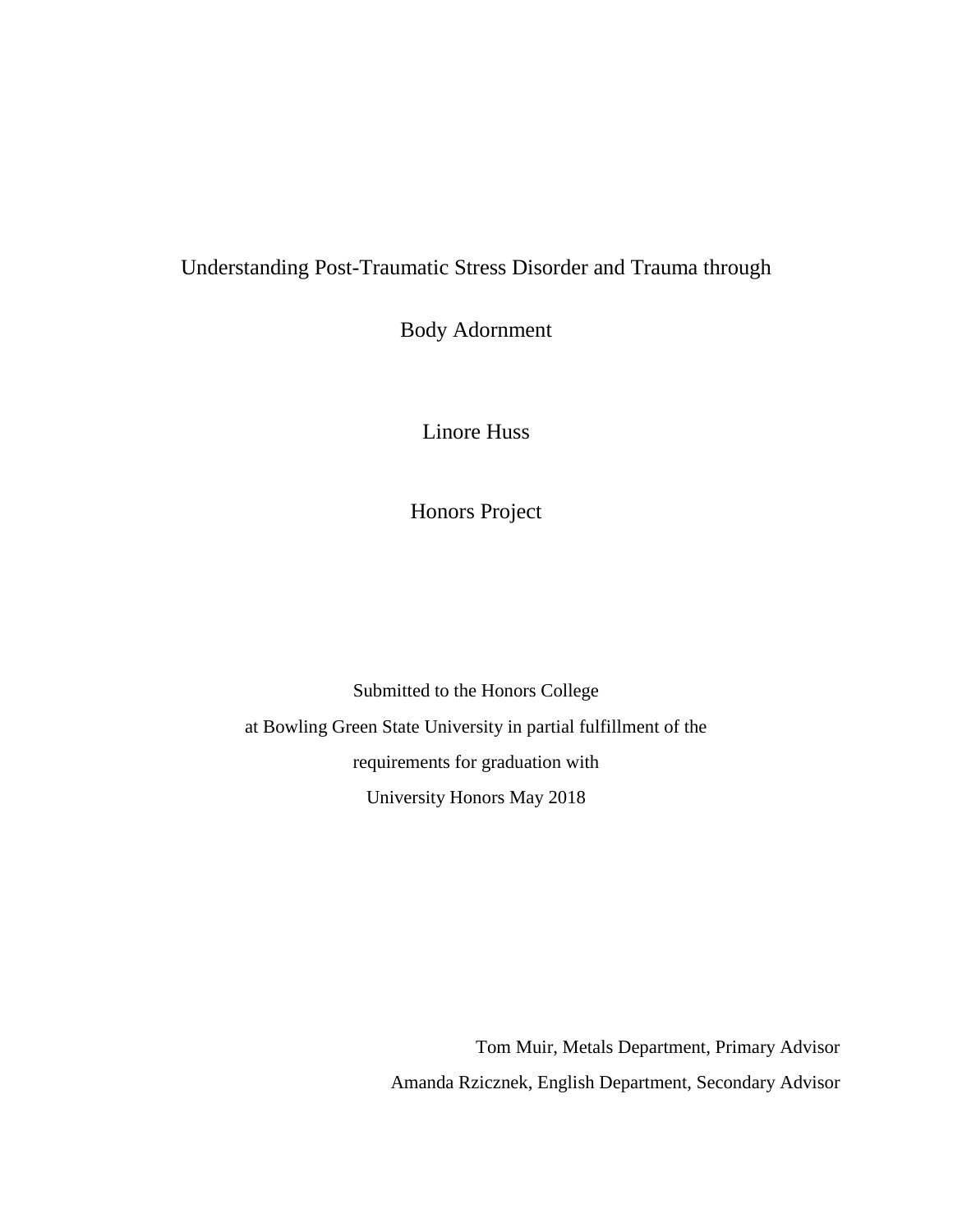## Understanding Post-Traumatic Stress Disorder and Trauma through

Body Adornment

Linore Huss

Honors Project

Submitted to the Honors College at Bowling Green State University in partial fulfillment of the requirements for graduation with University Honors May 2018

> Tom Muir, Metals Department, Primary Advisor Amanda Rzicznek, English Department, Secondary Advisor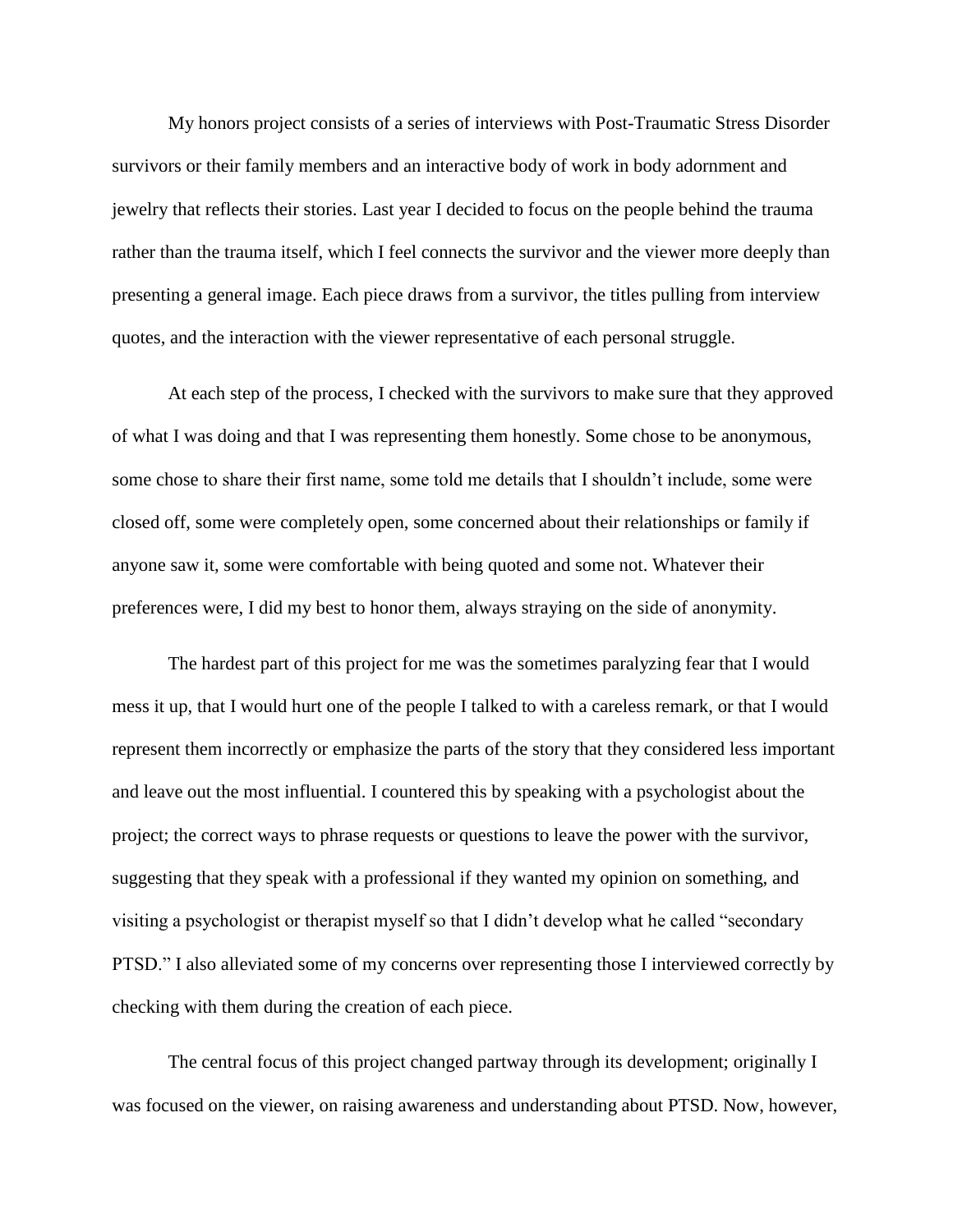My honors project consists of a series of interviews with Post-Traumatic Stress Disorder survivors or their family members and an interactive body of work in body adornment and jewelry that reflects their stories. Last year I decided to focus on the people behind the trauma rather than the trauma itself, which I feel connects the survivor and the viewer more deeply than presenting a general image. Each piece draws from a survivor, the titles pulling from interview quotes, and the interaction with the viewer representative of each personal struggle.

At each step of the process, I checked with the survivors to make sure that they approved of what I was doing and that I was representing them honestly. Some chose to be anonymous, some chose to share their first name, some told me details that I shouldn't include, some were closed off, some were completely open, some concerned about their relationships or family if anyone saw it, some were comfortable with being quoted and some not. Whatever their preferences were, I did my best to honor them, always straying on the side of anonymity.

The hardest part of this project for me was the sometimes paralyzing fear that I would mess it up, that I would hurt one of the people I talked to with a careless remark, or that I would represent them incorrectly or emphasize the parts of the story that they considered less important and leave out the most influential. I countered this by speaking with a psychologist about the project; the correct ways to phrase requests or questions to leave the power with the survivor, suggesting that they speak with a professional if they wanted my opinion on something, and visiting a psychologist or therapist myself so that I didn't develop what he called "secondary PTSD." I also alleviated some of my concerns over representing those I interviewed correctly by checking with them during the creation of each piece.

The central focus of this project changed partway through its development; originally I was focused on the viewer, on raising awareness and understanding about PTSD. Now, however,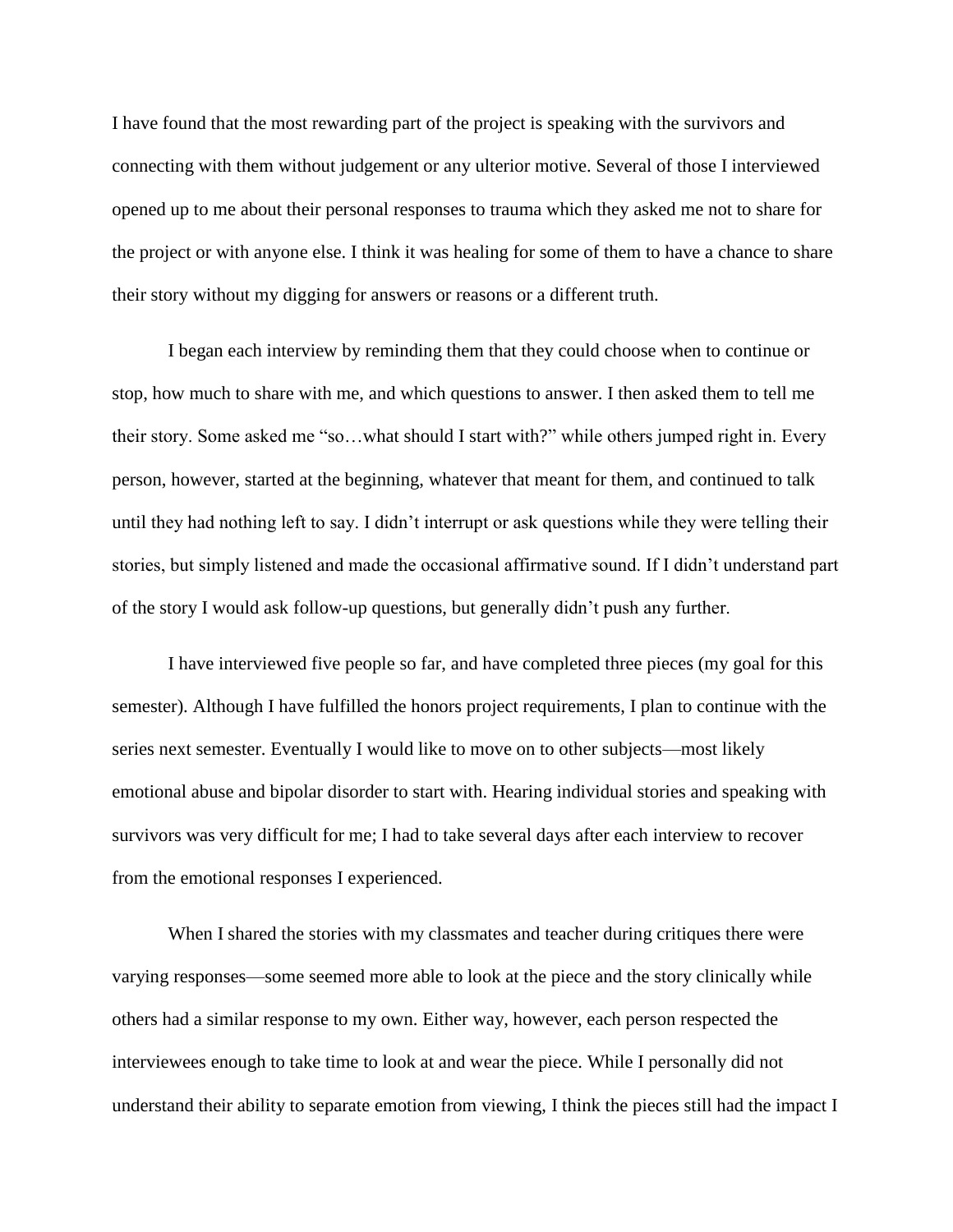I have found that the most rewarding part of the project is speaking with the survivors and connecting with them without judgement or any ulterior motive. Several of those I interviewed opened up to me about their personal responses to trauma which they asked me not to share for the project or with anyone else. I think it was healing for some of them to have a chance to share their story without my digging for answers or reasons or a different truth.

I began each interview by reminding them that they could choose when to continue or stop, how much to share with me, and which questions to answer. I then asked them to tell me their story. Some asked me "so…what should I start with?" while others jumped right in. Every person, however, started at the beginning, whatever that meant for them, and continued to talk until they had nothing left to say. I didn't interrupt or ask questions while they were telling their stories, but simply listened and made the occasional affirmative sound. If I didn't understand part of the story I would ask follow-up questions, but generally didn't push any further.

I have interviewed five people so far, and have completed three pieces (my goal for this semester). Although I have fulfilled the honors project requirements, I plan to continue with the series next semester. Eventually I would like to move on to other subjects—most likely emotional abuse and bipolar disorder to start with. Hearing individual stories and speaking with survivors was very difficult for me; I had to take several days after each interview to recover from the emotional responses I experienced.

When I shared the stories with my classmates and teacher during critiques there were varying responses—some seemed more able to look at the piece and the story clinically while others had a similar response to my own. Either way, however, each person respected the interviewees enough to take time to look at and wear the piece. While I personally did not understand their ability to separate emotion from viewing, I think the pieces still had the impact I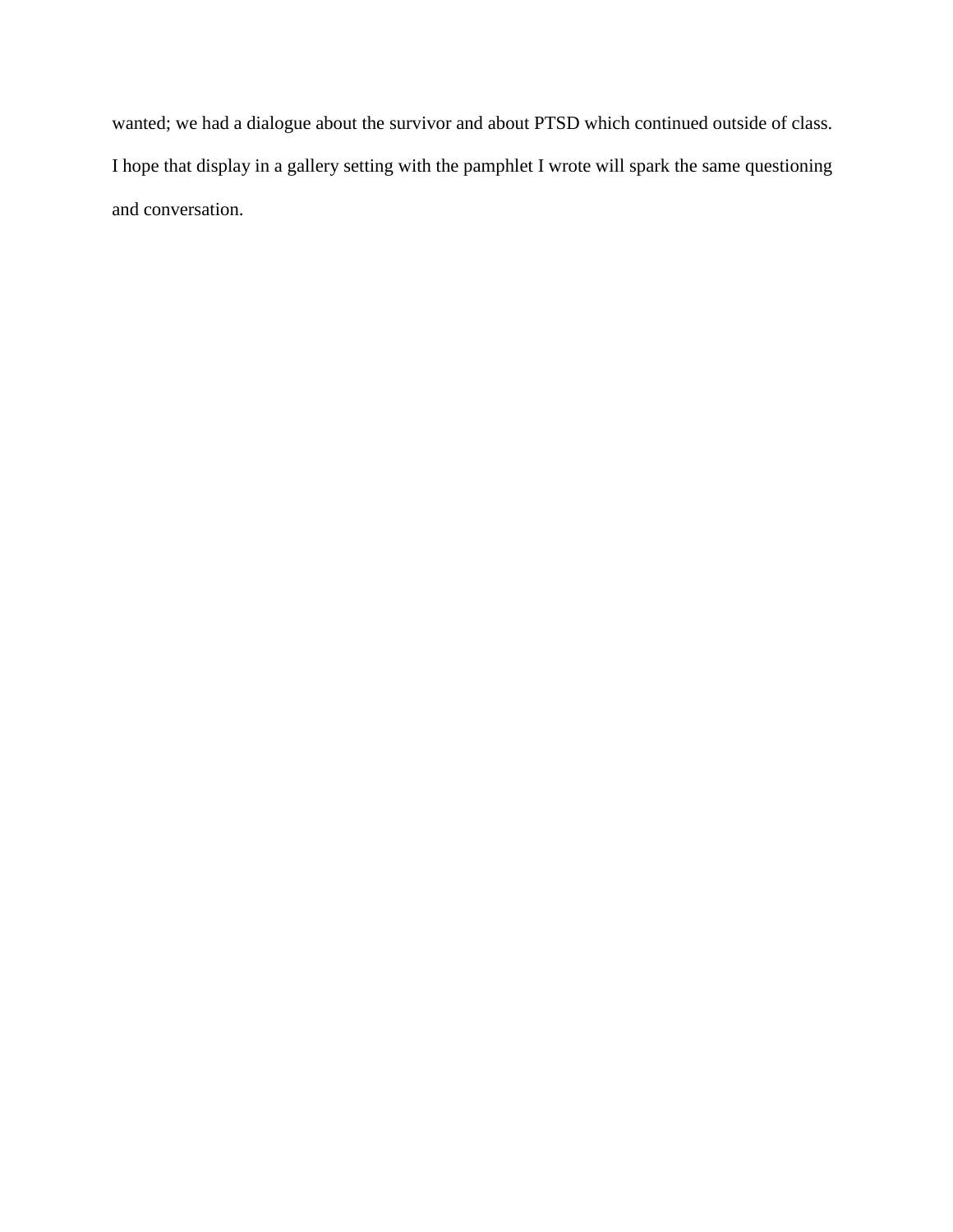wanted; we had a dialogue about the survivor and about PTSD which continued outside of class. I hope that display in a gallery setting with the pamphlet I wrote will spark the same questioning and conversation.